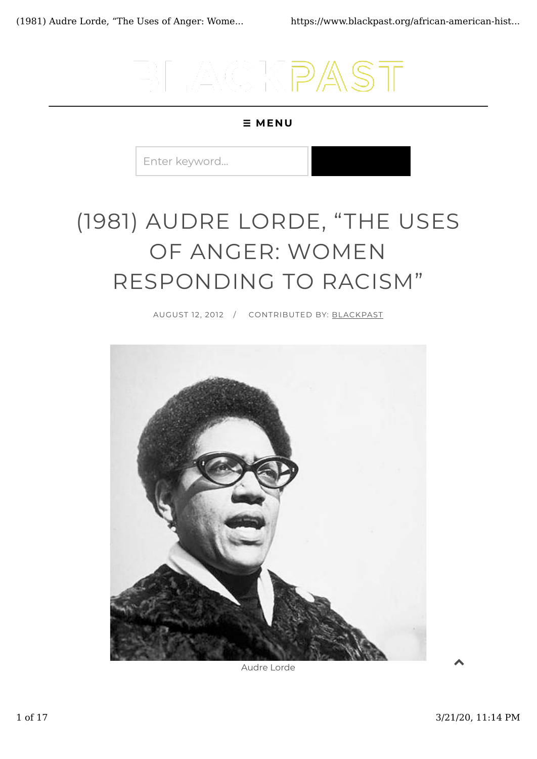

#### $\equiv$  MENU

Enter keyword...

# (1981) AUDRE LORDE, "THE USES OF ANGER: WOMEN RESPONDING TO RACISM"

AUGUST 12, 2012 / CONTRIBUTED BY: BLACKPAST



Audre Lorde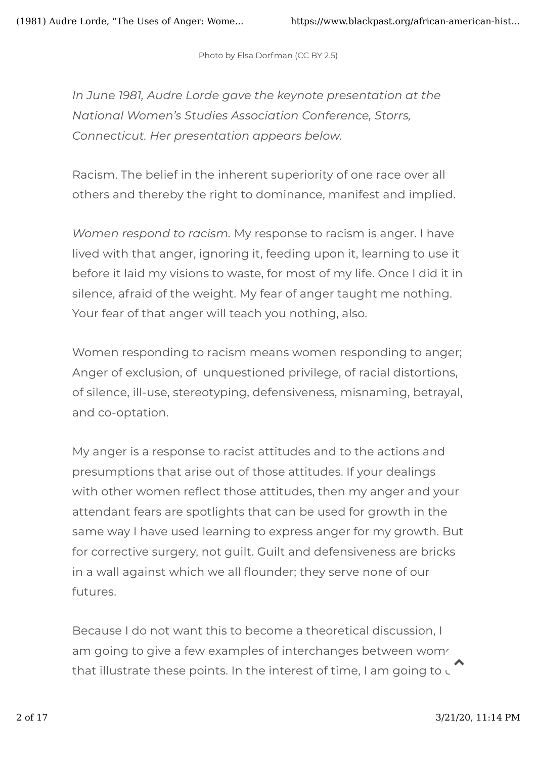Photo by Elsa Dorfman (CC BY 2.5)

In June 1981, Audre Lorde gave the keynote presentation at the National Women's Studies Association Conference, Storrs, Connecticut. Her presentation appears below.

Racism. The belief in the inherent superiority of one race over all others and thereby the right to dominance, manifest and implied.

Women respond to racism. My response to racism is anger. I have lived with that anger, ignoring it, feeding upon it, learning to use it before it laid my visions to waste, for most of my life. Once I did it in silence, afraid of the weight. My fear of anger taught me nothing. Your fear of that anger will teach you nothing, also.

Women responding to racism means women responding to anger; Anger of exclusion, of unquestioned privilege, of racial distortions, of silence, ill-use, stereotyping, defensiveness, misnaming, betrayal, and co-optation.

My anger is a response to racist attitudes and to the actions and presumptions that arise out of those attitudes. If your dealings with other women reflect those attitudes, then my anger and your attendant fears are spotlights that can be used for growth in the same way I have used learning to express anger for my growth. But for corrective surgery, not guilt. Guilt and defensiveness are bricks in a wall against which we all flounder; they serve none of our futures.

Because I do not want this to become a theoretical discussion, I am going to give a few examples of interchanges between women that illustrate these points. In the interest of time, I am going to  $\mathsf{\scriptstyle{L}}$  $\blacktriangle$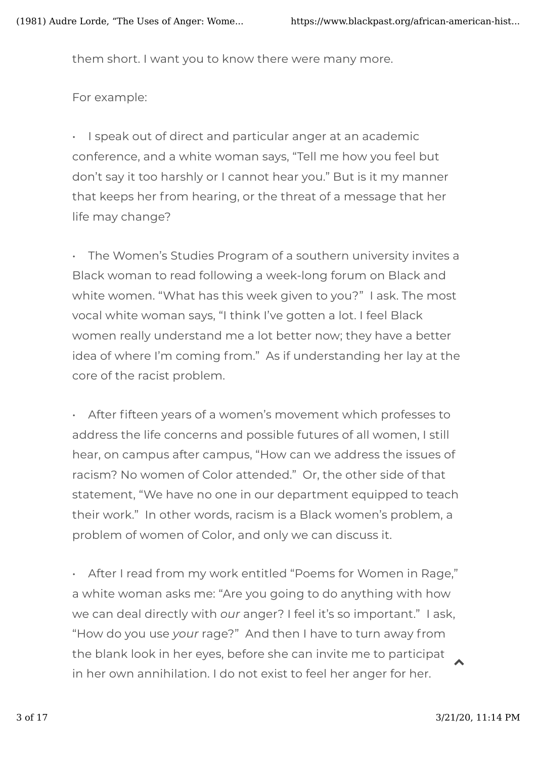them short. I want you to know there were many more.

For example:

• I speak out of direct and particular anger at an academic conference, and a white woman says, "Tell me how you feel but don't say it too harshly or I cannot hear you." But is it my manner that keeps her from hearing, or the threat of a message that her life may change?

• The Women's Studies Program of a southern university invites a Black woman to read following a week-long forum on Black and white women. "What has this week given to you?" I ask. The most vocal white woman says, "I think I've gotten a lot. I feel Black women really understand me a lot better now; they have a better idea of where I'm coming from." As if understanding her lay at the core of the racist problem.

• After fifteen years of a women's movement which professes to address the life concerns and possible futures of all women, I still hear, on campus after campus, "How can we address the issues of racism? No women of Color attended." Or, the other side of that statement, "We have no one in our department equipped to teach their work." In other words, racism is a Black women's problem, a problem of women of Color, and only we can discuss it.

• After I read from my work entitled "Poems for Women in Rage," a white woman asks me: "Are you going to do anything with how we can deal directly with our anger? I feel it's so important." I ask, "How do you use your rage?" And then I have to turn away from the blank look in her eyes, before she can invite me to participat in her own annihilation. I do not exist to feel her anger for her.  $\blacktriangle$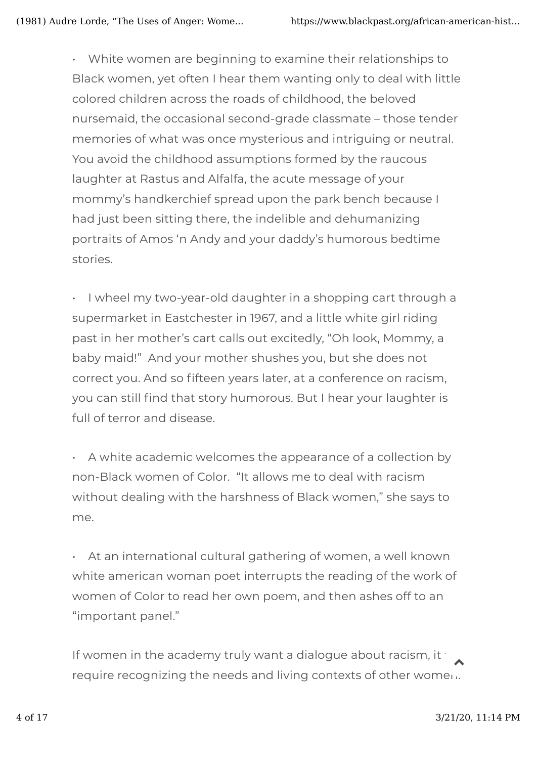• White women are beginning to examine their relationships to Black women, yet often I hear them wanting only to deal with little colored children across the roads of childhood, the beloved nursemaid, the occasional second-grade classmate – those tender memories of what was once mysterious and intriguing or neutral. You avoid the childhood assumptions formed by the raucous laughter at Rastus and Alfalfa, the acute message of your mommy's handkerchief spread upon the park bench because I had just been sitting there, the indelible and dehumanizing portraits of Amos 'n Andy and your daddy's humorous bedtime stories.

• I wheel my two-year-old daughter in a shopping cart through a supermarket in Eastchester in 1967, and a little white girl riding past in her mother's cart calls out excitedly, "Oh look, Mommy, a baby maid!" And your mother shushes you, but she does not correct you. And so fifteen years later, at a conference on racism, you can still find that story humorous. But I hear your laughter is full of terror and disease.

 $\cdot$  A white academic welcomes the appearance of a collection by non-Black women of Color. "It allows me to deal with racism without dealing with the harshness of Black women," she says to me.

• At an international cultural gathering of women, a well known white american woman poet interrupts the reading of the work of women of Color to read her own poem, and then ashes off to an "important panel."

If women in the academy truly want a dialogue about racism, it  $\lambda$ require recognizing the needs and living contexts of other women.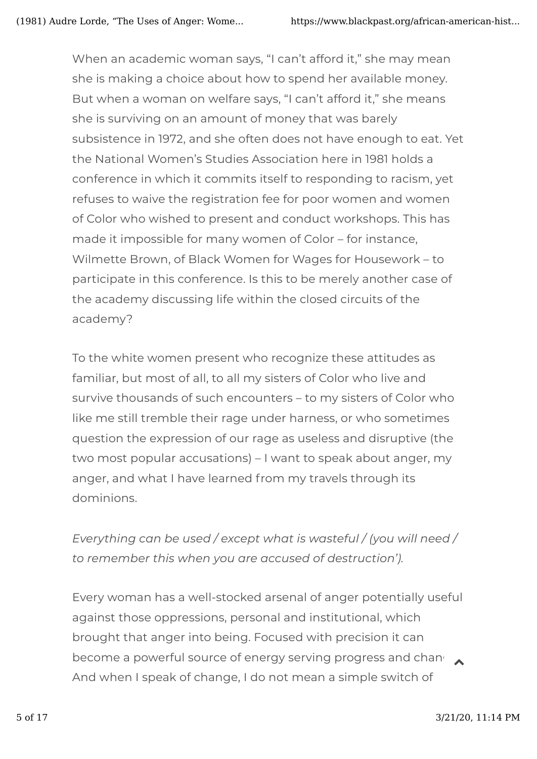When an academic woman says, "I can't afford it," she may mean she is making a choice about how to spend her available money. But when a woman on welfare says, "I can't afford it," she means she is surviving on an amount of money that was barely subsistence in 1972, and she often does not have enough to eat. Yet the National Women's Studies Association here in 1981 holds a conference in which it commits itself to responding to racism, yet refuses to waive the registration fee for poor women and women of Color who wished to present and conduct workshops. This has made it impossible for many women of Color – for instance, Wilmette Brown, of Black Women for Wages for Housework – to participate in this conference. Is this to be merely another case of the academy discussing life within the closed circuits of the academy?

To the white women present who recognize these attitudes as familiar, but most of all, to all my sisters of Color who live and survive thousands of such encounters – to my sisters of Color who like me still tremble their rage under harness, or who sometimes question the expression of our rage as useless and disruptive (the two most popular accusations) – I want to speak about anger, my anger, and what I have learned from my travels through its dominions.

Everything can be used / except what is wasteful / (you will need / to remember this when you are accused of destruction').

Every woman has a well-stocked arsenal of anger potentially useful against those oppressions, personal and institutional, which brought that anger into being. Focused with precision it can become a powerful source of energy serving progress and chan $^{\prime}$ And when I speak of change, I do not mean a simple switch of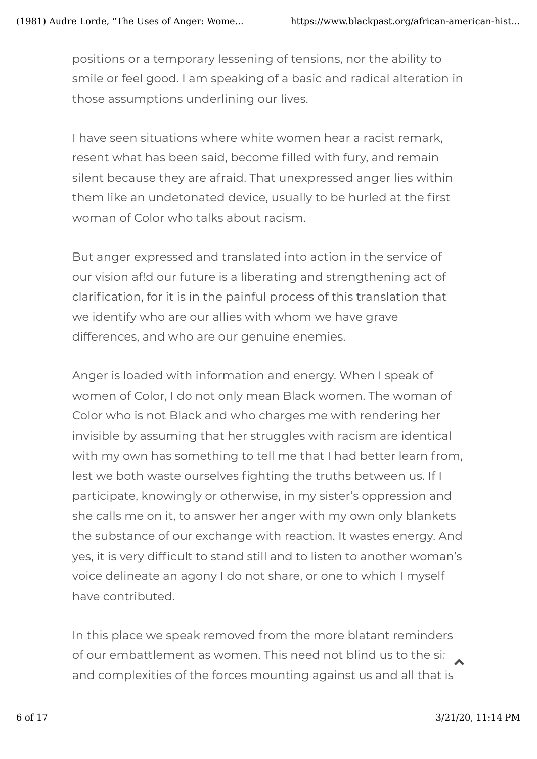positions or a temporary lessening of tensions, nor the ability to smile or feel good. I am speaking of a basic and radical alteration in those assumptions underlining our lives.

I have seen situations where white women hear a racist remark, resent what has been said, become filled with fury, and remain silent because they are afraid. That unexpressed anger lies within them like an undetonated device, usually to be hurled at the first woman of Color who talks about racism.

But anger expressed and translated into action in the service of our vision af!d our future is a liberating and strengthening act of clarification, for it is in the painful process of this translation that we identify who are our allies with whom we have grave differences, and who are our genuine enemies.

Anger is loaded with information and energy. When I speak of women of Color, I do not only mean Black women. The woman of Color who is not Black and who charges me with rendering her invisible by assuming that her struggles with racism are identical with my own has something to tell me that I had better learn from, lest we both waste ourselves fighting the truths between us. If I participate, knowingly or otherwise, in my sister's oppression and she calls me on it, to answer her anger with my own only blankets the substance of our exchange with reaction. It wastes energy. And yes, it is very difficult to stand still and to listen to another woman's voice delineate an agony I do not share, or one to which I myself have contributed.

In this place we speak removed from the more blatant reminders of our embattlement as women. This need not blind us to the sit and complexities of the forces mounting against us and all that is  $\blacktriangle$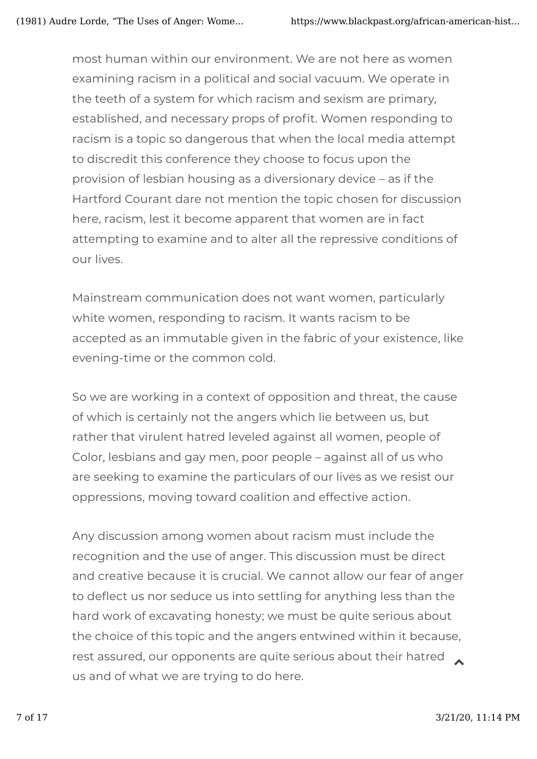most human within our environment. We are not here as women examining racism in a political and social vacuum. We operate in the teeth of a system for which racism and sexism are primary, established, and necessary props of profit. Women responding to racism is a topic so dangerous that when the local media attempt to discredit this conference they choose to focus upon the provision of lesbian housing as a diversionary device – as if the Hartford Courant dare not mention the topic chosen for discussion here, racism, lest it become apparent that women are in fact attempting to examine and to alter all the repressive conditions of our lives.

Mainstream communication does not want women, particularly white women, responding to racism. It wants racism to be accepted as an immutable given in the fabric of your existence, like evening-time or the common cold.

So we are working in a context of opposition and threat, the cause of which is certainly not the angers which lie between us, but rather that virulent hatred leveled against all women, people of Color, lesbians and gay men, poor people – against all of us who are seeking to examine the particulars of our lives as we resist our oppressions, moving toward coalition and effective action.

Any discussion among women about racism must include the recognition and the use of anger. This discussion must be direct and creative because it is crucial. We cannot allow our fear of anger to deflect us nor seduce us into settling for anything less than the hard work of excavating honesty; we must be quite serious about the choice of this topic and the angers entwined within it because, rest assured, our opponents are quite serious about their hatred  $\qquad \blacktriangleleft$ us and of what we are trying to do here.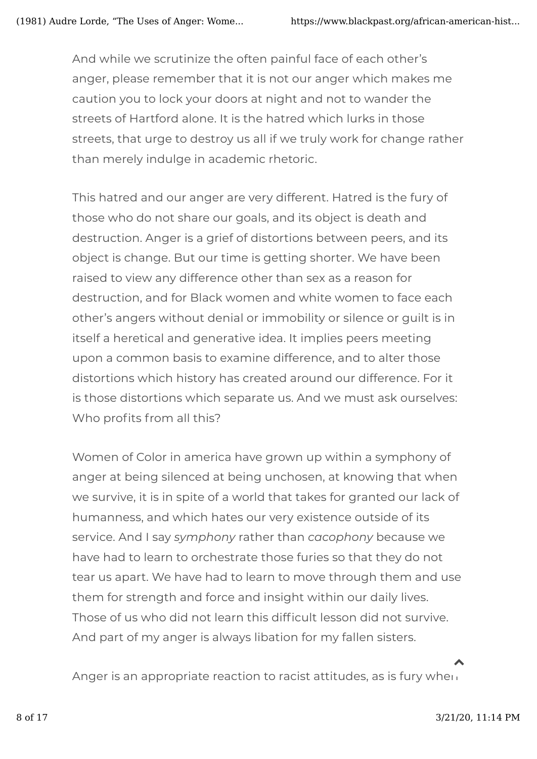And while we scrutinize the often painful face of each other's anger, please remember that it is not our anger which makes me caution you to lock your doors at night and not to wander the streets of Hartford alone. It is the hatred which lurks in those streets, that urge to destroy us all if we truly work for change rather than merely indulge in academic rhetoric.

This hatred and our anger are very different. Hatred is the fury of those who do not share our goals, and its object is death and destruction. Anger is a grief of distortions between peers, and its object is change. But our time is getting shorter. We have been raised to view any difference other than sex as a reason for destruction, and for Black women and white women to face each other's angers without denial or immobility or silence or guilt is in itself a heretical and generative idea. It implies peers meeting upon a common basis to examine difference, and to alter those distortions which history has created around our difference. For it is those distortions which separate us. And we must ask ourselves: Who profits from all this?

Women of Color in america have grown up within a symphony of anger at being silenced at being unchosen, at knowing that when we survive, it is in spite of a world that takes for granted our lack of humanness, and which hates our very existence outside of its service. And I say symphony rather than cacophony because we have had to learn to orchestrate those furies so that they do not tear us apart. We have had to learn to move through them and use them for strength and force and insight within our daily lives. Those of us who did not learn this difficult lesson did not survive. And part of my anger is always libation for my fallen sisters.

Anger is an appropriate reaction to racist attitudes, as is fury when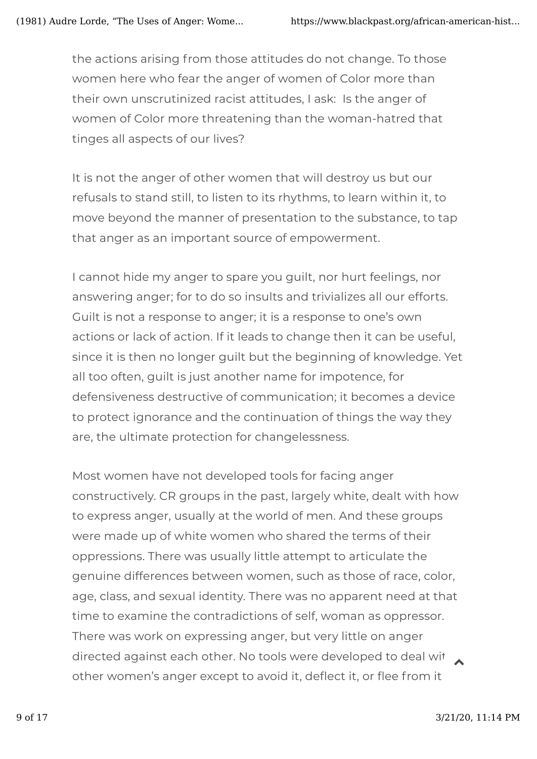the actions arising from those attitudes do not change. To those women here who fear the anger of women of Color more than their own unscrutinized racist attitudes, I ask: Is the anger of women of Color more threatening than the woman-hatred that tinges all aspects of our lives?

It is not the anger of other women that will destroy us but our refusals to stand still, to listen to its rhythms, to learn within it, to move beyond the manner of presentation to the substance, to tap that anger as an important source of empowerment.

I cannot hide my anger to spare you guilt, nor hurt feelings, nor answering anger; for to do so insults and trivializes all our efforts. Guilt is not a response to anger; it is a response to one's own actions or lack of action. If it leads to change then it can be useful, since it is then no longer guilt but the beginning of knowledge. Yet all too often, guilt is just another name for impotence, for defensiveness destructive of communication; it becomes a device to protect ignorance and the continuation of things the way they are, the ultimate protection for changelessness.

Most women have not developed tools for facing anger constructively. CR groups in the past, largely white, dealt with how to express anger, usually at the world of men. And these groups were made up of white women who shared the terms of their oppressions. There was usually little attempt to articulate the genuine differences between women, such as those of race, color, age, class, and sexual identity. There was no apparent need at that time to examine the contradictions of self, woman as oppressor. There was work on expressing anger, but very little on anger directed against each other. No tools were developed to deal with other women's anger except to avoid it, deflect it, or flee from it  $\blacktriangle$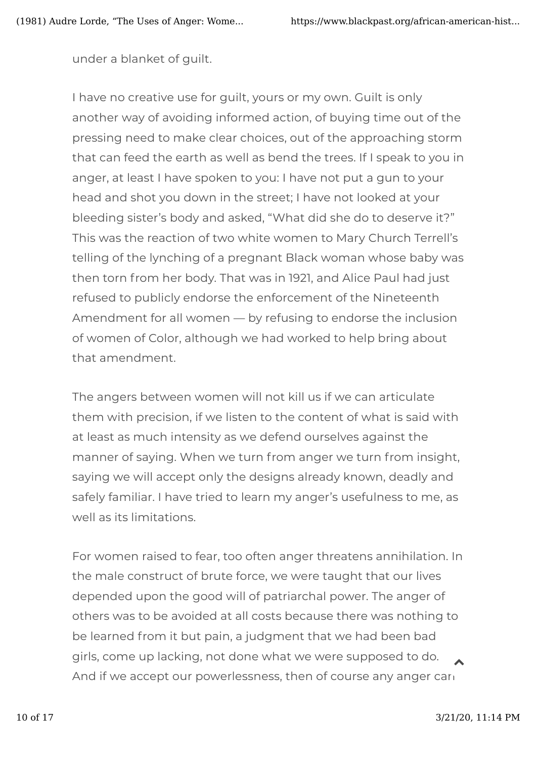under a blanket of guilt.

I have no creative use for guilt, yours or my own. Guilt is only another way of avoiding informed action, of buying time out of the pressing need to make clear choices, out of the approaching storm that can feed the earth as well as bend the trees. If I speak to you in anger, at least I have spoken to you: I have not put a gun to your head and shot you down in the street; I have not looked at your bleeding sister's body and asked, "What did she do to deserve it?" This was the reaction of two white women to Mary Church Terrell's telling of the lynching of a pregnant Black woman whose baby was then torn from her body. That was in 1921, and Alice Paul had just refused to publicly endorse the enforcement of the Nineteenth Amendment for all women — by refusing to endorse the inclusion of women of Color, although we had worked to help bring about that amendment.

The angers between women will not kill us if we can articulate them with precision, if we listen to the content of what is said with at least as much intensity as we defend ourselves against the manner of saying. When we turn from anger we turn from insight, saying we will accept only the designs already known, deadly and safely familiar. I have tried to learn my anger's usefulness to me, as well as its limitations.

For women raised to fear, too often anger threatens annihilation. In the male construct of brute force, we were taught that our lives depended upon the good will of patriarchal power. The anger of others was to be avoided at all costs because there was nothing to be learned from it but pain, a judgment that we had been bad girls, come up lacking, not done what we were supposed to do. And if we accept our powerlessness, then of course any anger can  $\blacktriangle$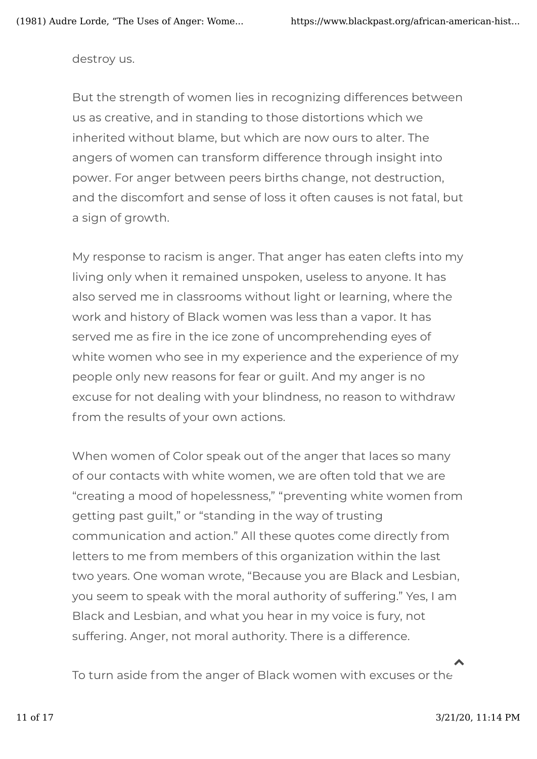destroy us.

But the strength of women lies in recognizing differences between us as creative, and in standing to those distortions which we inherited without blame, but which are now ours to alter. The angers of women can transform difference through insight into power. For anger between peers births change, not destruction, and the discomfort and sense of loss it often causes is not fatal, but a sign of growth.

My response to racism is anger. That anger has eaten clefts into my living only when it remained unspoken, useless to anyone. It has also served me in classrooms without light or learning, where the work and history of Black women was less than a vapor. It has served me as fire in the ice zone of uncomprehending eyes of white women who see in my experience and the experience of my people only new reasons for fear or guilt. And my anger is no excuse for not dealing with your blindness, no reason to withdraw from the results of your own actions.

When women of Color speak out of the anger that laces so many of our contacts with white women, we are often told that we are "creating a mood of hopelessness," "preventing white women from getting past guilt," or "standing in the way of trusting communication and action." All these quotes come directly from letters to me from members of this organization within the last two years. One woman wrote, "Because you are Black and Lesbian, you seem to speak with the moral authority of suffering." Yes, I am Black and Lesbian, and what you hear in my voice is fury, not suffering. Anger, not moral authority. There is a difference.

To turn aside from the anger of Black women with excuses or the  $\blacktriangle$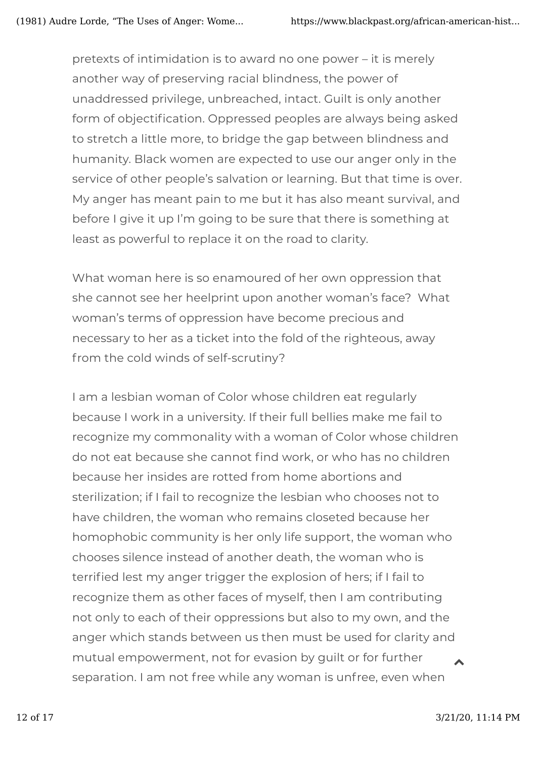pretexts of intimidation is to award no one power – it is merely another way of preserving racial blindness, the power of unaddressed privilege, unbreached, intact. Guilt is only another form of objectification. Oppressed peoples are always being asked to stretch a little more, to bridge the gap between blindness and humanity. Black women are expected to use our anger only in the service of other people's salvation or learning. But that time is over. My anger has meant pain to me but it has also meant survival, and before I give it up I'm going to be sure that there is something at least as powerful to replace it on the road to clarity.

What woman here is so enamoured of her own oppression that she cannot see her heelprint upon another woman's face? What woman's terms of oppression have become precious and necessary to her as a ticket into the fold of the righteous, away from the cold winds of self-scrutiny?

I am a lesbian woman of Color whose children eat regularly because I work in a university. If their full bellies make me fail to recognize my commonality with a woman of Color whose children do not eat because she cannot find work, or who has no children because her insides are rotted from home abortions and sterilization; if I fail to recognize the lesbian who chooses not to have children, the woman who remains closeted because her homophobic community is her only life support, the woman who chooses silence instead of another death, the woman who is terrified lest my anger trigger the explosion of hers; if I fail to recognize them as other faces of myself, then I am contributing not only to each of their oppressions but also to my own, and the anger which stands between us then must be used for clarity and mutual empowerment, not for evasion by guilt or for further separation. I am not free while any woman is unfree, even when  $\blacktriangle$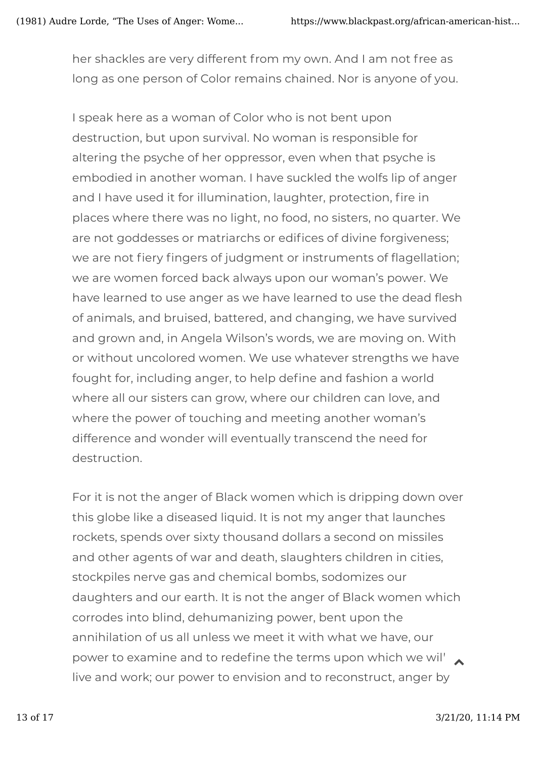her shackles are very different from my own. And I am not free as long as one person of Color remains chained. Nor is anyone of you.

I speak here as a woman of Color who is not bent upon destruction, but upon survival. No woman is responsible for altering the psyche of her oppressor, even when that psyche is embodied in another woman. I have suckled the wolfs lip of anger and I have used it for illumination, laughter, protection, fire in places where there was no light, no food, no sisters, no quarter. We are not goddesses or matriarchs or edifices of divine forgiveness; we are not fiery fingers of judgment or instruments of flagellation; we are women forced back always upon our woman's power. We have learned to use anger as we have learned to use the dead flesh of animals, and bruised, battered, and changing, we have survived and grown and, in Angela Wilson's words, we are moving on. With or without uncolored women. We use whatever strengths we have fought for, including anger, to help define and fashion a world where all our sisters can grow, where our children can love, and where the power of touching and meeting another woman's difference and wonder will eventually transcend the need for destruction.

For it is not the anger of Black women which is dripping down over this globe like a diseased liquid. It is not my anger that launches rockets, spends over sixty thousand dollars a second on missiles and other agents of war and death, slaughters children in cities, stockpiles nerve gas and chemical bombs, sodomizes our daughters and our earth. It is not the anger of Black women which corrodes into blind, dehumanizing power, bent upon the annihilation of us all unless we meet it with what we have, our power to examine and to redefine the terms upon which we wil'  $\quad \blacktriangle$ live and work; our power to envision and to reconstruct, anger by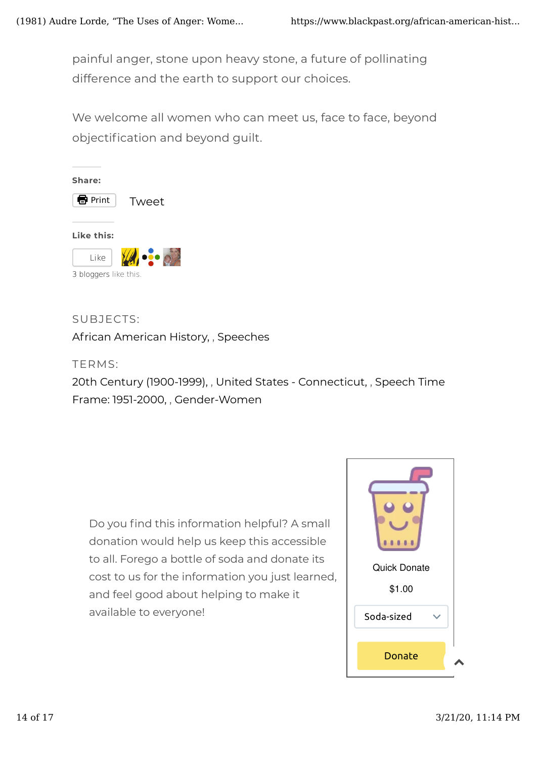painful anger, stone upon heavy stone, a future of pollinating difference and the earth to support our choices.

We welcome all women who can meet us, face to face, beyond objectification and beyond guilt.



#### SUBJECTS:

African American History, , Speeches

TERMS:

20th Century (1900-1999), , United States - Connecticut, , Speech Time Frame: 1951-2000, , Gender-Women

Do you find this information helpful? A small donation would help us keep this accessible to all. Forego a bottle of soda and donate its cost to us for the information you just learned, and feel good about helping to make it available to everyone!

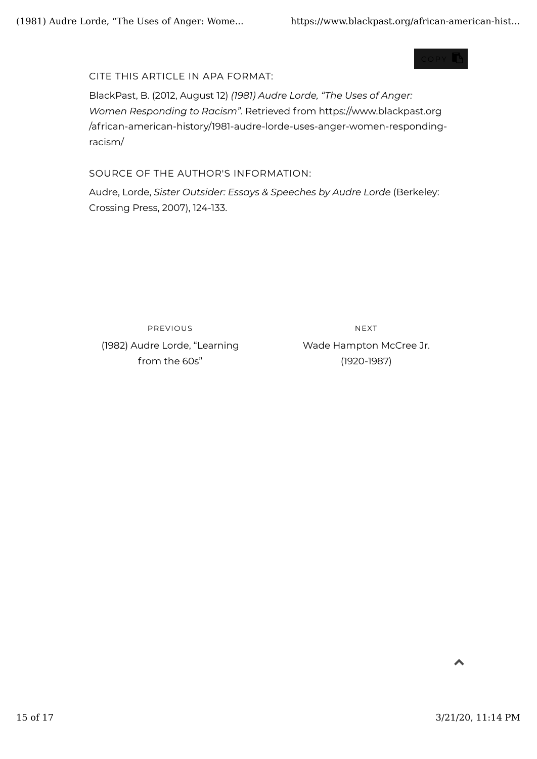

CITE THIS ARTICLE IN APA FORMAT:

BlackPast, B. (2012, August 12) (1981) Audre Lorde, "The Uses of Anger: Women Responding to Racism". Retrieved from https://www.blackpast.org /african-american-history/1981-audre-lorde-uses-anger-women-respondingracism/

SOURCE OF THE AUTHOR'S INFORMATION:

Audre, Lorde, Sister Outsider: Essays & Speeches by Audre Lorde (Berkeley: Crossing Press, 2007), 124-133.

PREVIOUS (1982) Audre Lorde, "Learning from the 60s"

NEXT Wade Hampton McCree Jr. (1920-1987)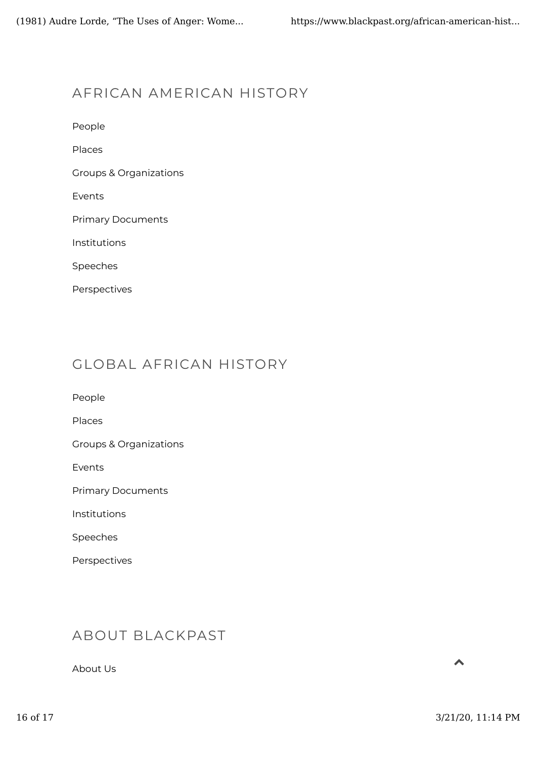## AFRICAN AMERICAN HISTORY

People

Places

Groups & Organizations

Events

Primary Documents

Institutions

Speeches

Perspectives

## GLOBAL AFRICAN HISTORY

People

Places

Groups & Organizations

Events

Primary Documents

Institutions

Speeches

Perspectives

#### ABOUT BLACKPAST

About Us